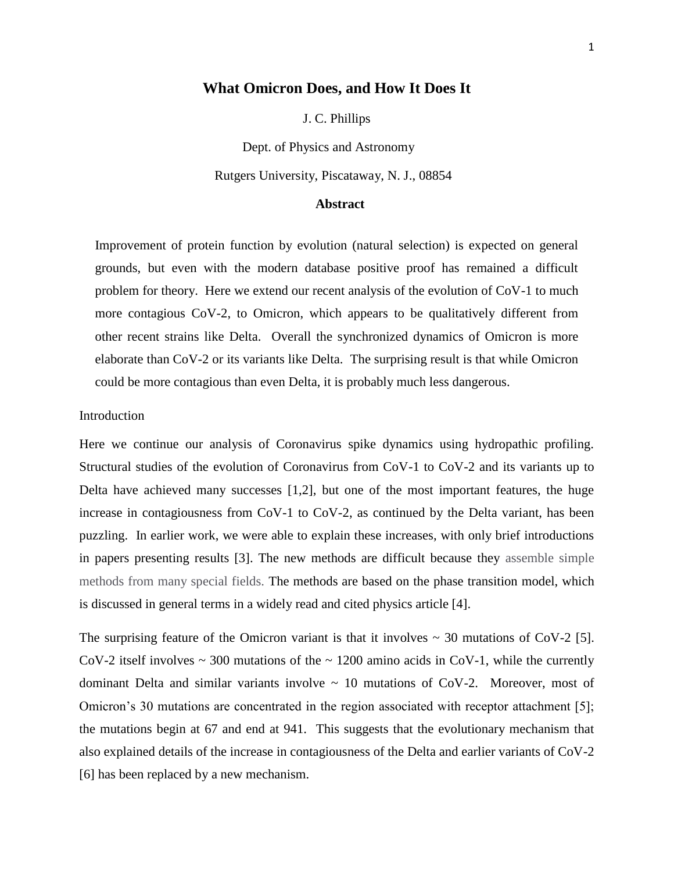## **What Omicron Does, and How It Does It**

J. C. Phillips

Dept. of Physics and Astronomy

Rutgers University, Piscataway, N. J., 08854

#### **Abstract**

Improvement of protein function by evolution (natural selection) is expected on general grounds, but even with the modern database positive proof has remained a difficult problem for theory. Here we extend our recent analysis of the evolution of CoV-1 to much more contagious CoV-2, to Omicron, which appears to be qualitatively different from other recent strains like Delta. Overall the synchronized dynamics of Omicron is more elaborate than CoV-2 or its variants like Delta. The surprising result is that while Omicron could be more contagious than even Delta, it is probably much less dangerous.

#### Introduction

Here we continue our analysis of Coronavirus spike dynamics using hydropathic profiling. Structural studies of the evolution of Coronavirus from CoV-1 to CoV-2 and its variants up to Delta have achieved many successes [1,2], but one of the most important features, the huge increase in contagiousness from CoV-1 to CoV-2, as continued by the Delta variant, has been puzzling. In earlier work, we were able to explain these increases, with only brief introductions in papers presenting results [3]. The new methods are difficult because they assemble simple methods from many special fields. The methods are based on the phase transition model, which is discussed in general terms in a widely read and cited physics article [4].

The surprising feature of the Omicron variant is that it involves  $\sim$  30 mutations of CoV-2 [5]. CoV-2 itself involves  $\sim$  300 mutations of the  $\sim$  1200 amino acids in CoV-1, while the currently dominant Delta and similar variants involve  $\sim$  10 mutations of CoV-2. Moreover, most of Omicron's 30 mutations are concentrated in the region associated with receptor attachment [5]; the mutations begin at 67 and end at 941. This suggests that the evolutionary mechanism that also explained details of the increase in contagiousness of the Delta and earlier variants of CoV-2 [6] has been replaced by a new mechanism.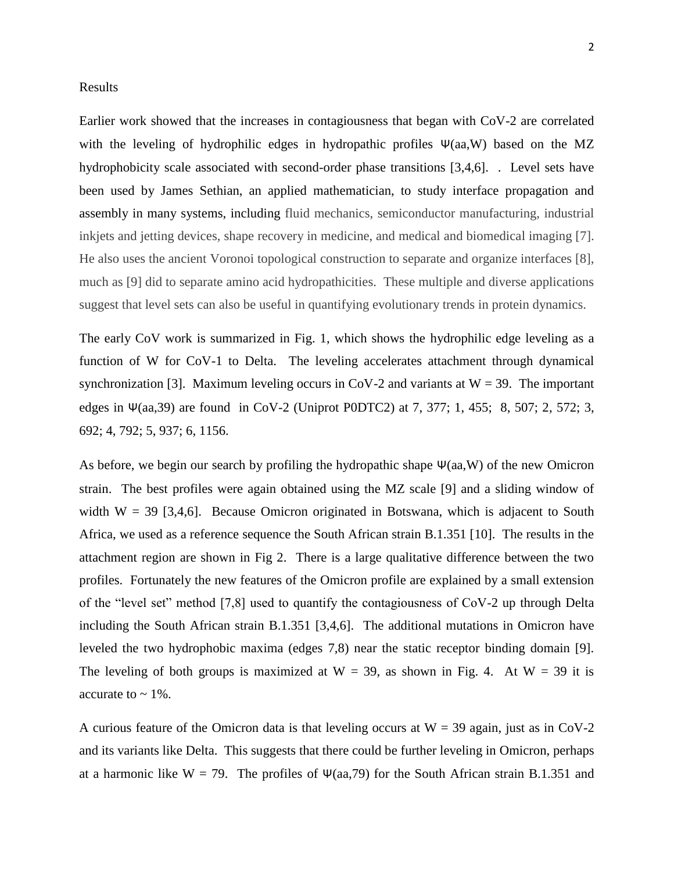#### Results

Earlier work showed that the increases in contagiousness that began with CoV-2 are correlated with the leveling of hydrophilic edges in hydropathic profiles  $\Psi(aa, W)$  based on the MZ hydrophobicity scale associated with second-order phase transitions [3,4,6]. . Level sets have been used by James Sethian, an applied mathematician, to study interface propagation and assembly in many systems, including fluid mechanics, semiconductor manufacturing, industrial inkjets and jetting devices, shape recovery in medicine, and medical and biomedical imaging [7]. He also uses the ancient Voronoi topological construction to separate and organize interfaces [8], much as [9] did to separate amino acid hydropathicities. These multiple and diverse applications suggest that level sets can also be useful in quantifying evolutionary trends in protein dynamics.

The early CoV work is summarized in Fig. 1, which shows the hydrophilic edge leveling as a function of W for CoV-1 to Delta. The leveling accelerates attachment through dynamical synchronization [3]. Maximum leveling occurs in CoV-2 and variants at  $W = 39$ . The important edges in Ψ(aa, 39) are found in CoV-2 (Uniprot P0DTC2) at 7, 377; 1, 455; 8, 507; 2, 572; 3, 692; 4, 792; 5, 937; 6, 1156.

As before, we begin our search by profiling the hydropathic shape  $\Psi(aa, W)$  of the new Omicron strain. The best profiles were again obtained using the MZ scale [9] and a sliding window of width  $W = 39$  [3,4,6]. Because Omicron originated in Botswana, which is adjacent to South Africa, we used as a reference sequence the South African strain B.1.351 [10]. The results in the attachment region are shown in Fig 2. There is a large qualitative difference between the two profiles. Fortunately the new features of the Omicron profile are explained by a small extension of the "level set" method [7,8] used to quantify the contagiousness of CoV-2 up through Delta including the South African strain B.1.351 [3,4,6]. The additional mutations in Omicron have leveled the two hydrophobic maxima (edges 7,8) near the static receptor binding domain [9]. The leveling of both groups is maximized at  $W = 39$ , as shown in Fig. 4. At  $W = 39$  it is accurate to  $\sim$  1%.

A curious feature of the Omicron data is that leveling occurs at  $W = 39$  again, just as in CoV-2 and its variants like Delta. This suggests that there could be further leveling in Omicron, perhaps at a harmonic like W = 79. The profiles of  $\Psi(aa,79)$  for the South African strain B.1.351 and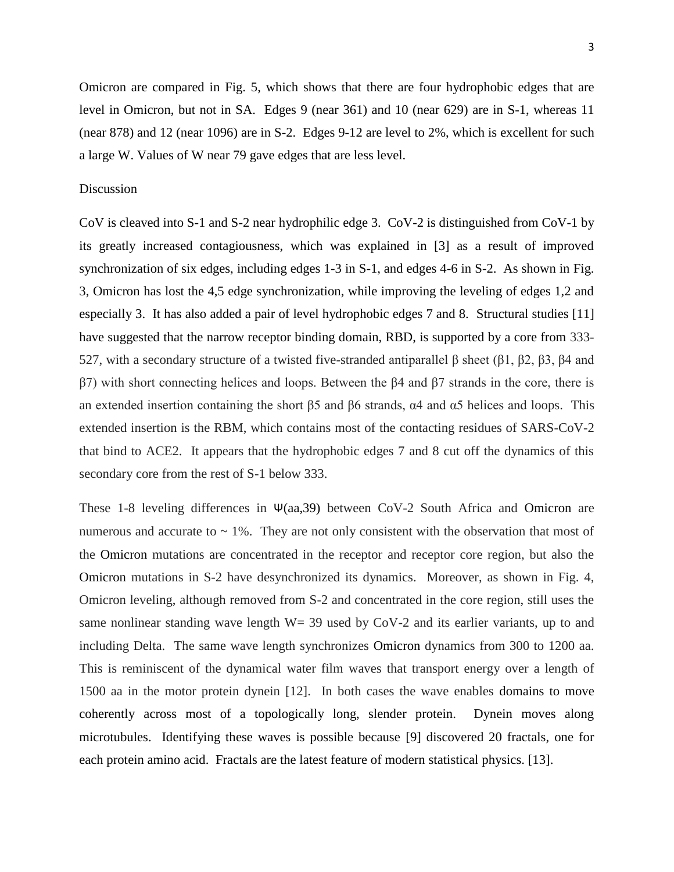Omicron are compared in Fig. 5, which shows that there are four hydrophobic edges that are level in Omicron, but not in SA. Edges 9 (near 361) and 10 (near 629) are in S-1, whereas 11 (near 878) and 12 (near 1096) are in S-2. Edges 9-12 are level to 2%, which is excellent for such a large W. Values of W near 79 gave edges that are less level.

### Discussion

CoV is cleaved into S-1 and S-2 near hydrophilic edge 3. CoV-2 is distinguished from CoV-1 by its greatly increased contagiousness, which was explained in [3] as a result of improved synchronization of six edges, including edges 1-3 in S-1, and edges 4-6 in S-2. As shown in Fig. 3, Omicron has lost the 4,5 edge synchronization, while improving the leveling of edges 1,2 and especially 3. It has also added a pair of level hydrophobic edges 7 and 8. Structural studies [11] have suggested that the narrow receptor binding domain, RBD, is supported by a core from 333- 527, with a secondary structure of a twisted five-stranded antiparallel β sheet (β1, β2, β3, β4 and β7) with short connecting helices and loops. Between the β4 and β7 strands in the core, there is an extended insertion containing the short  $\beta$ 5 and  $\beta$ 6 strands,  $\alpha$ 4 and  $\alpha$ 5 helices and loops. This extended insertion is the RBM, which contains most of the contacting residues of SARS-CoV-2 that bind to ACE2. It appears that the hydrophobic edges 7 and 8 cut off the dynamics of this secondary core from the rest of S-1 below 333.

These 1-8 leveling differences in Ψ(aa,39) between CoV-2 South Africa and Omicron are numerous and accurate to  $\sim$  1%. They are not only consistent with the observation that most of the Omicron mutations are concentrated in the receptor and receptor core region, but also the Omicron mutations in S-2 have desynchronized its dynamics. Moreover, as shown in Fig. 4, Omicron leveling, although removed from S-2 and concentrated in the core region, still uses the same nonlinear standing wave length  $W = 39$  used by CoV-2 and its earlier variants, up to and including Delta. The same wave length synchronizes Omicron dynamics from 300 to 1200 aa. This is reminiscent of the dynamical water film waves that transport energy over a length of 1500 aa in the motor protein dynein [12]. In both cases the wave enables domains to move coherently across most of a topologically long, slender protein. Dynein moves along microtubules. Identifying these waves is possible because [9] discovered 20 fractals, one for each protein amino acid. Fractals are the latest feature of modern statistical physics. [13].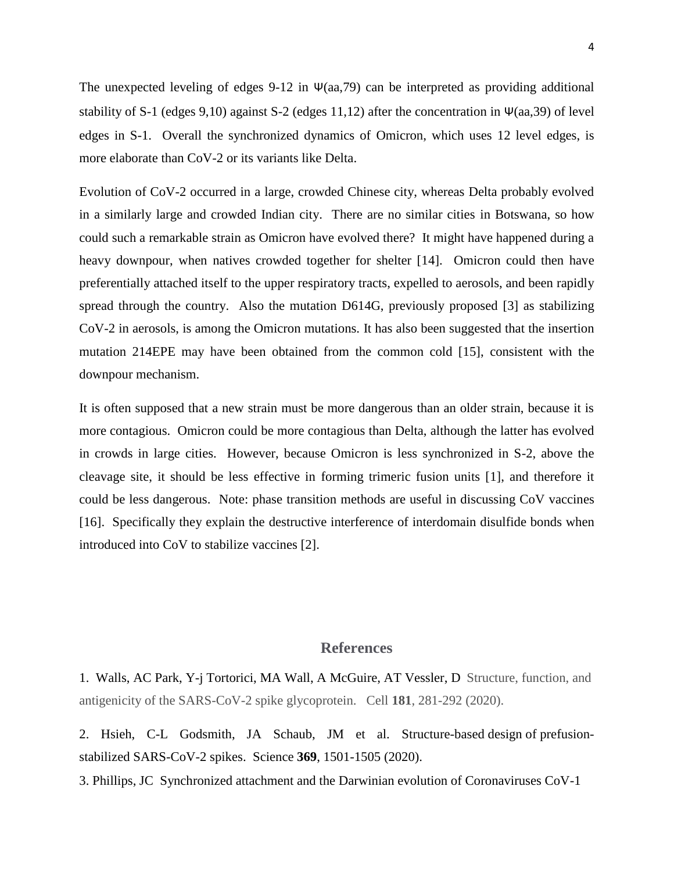The unexpected leveling of edges 9-12 in  $\Psi$ (aa,79) can be interpreted as providing additional stability of S-1 (edges 9,10) against S-2 (edges 11,12) after the concentration in  $\Psi$ (aa,39) of level edges in S-1. Overall the synchronized dynamics of Omicron, which uses 12 level edges, is more elaborate than CoV-2 or its variants like Delta.

Evolution of CoV-2 occurred in a large, crowded Chinese city, whereas Delta probably evolved in a similarly large and crowded Indian city. There are no similar cities in Botswana, so how could such a remarkable strain as Omicron have evolved there? It might have happened during a heavy downpour, when natives crowded together for shelter [14]. Omicron could then have preferentially attached itself to the upper respiratory tracts, expelled to aerosols, and been rapidly spread through the country. Also the mutation D614G, previously proposed [3] as stabilizing CoV-2 in aerosols, is among the Omicron mutations. It has also been suggested that the insertion mutation 214EPE may have been obtained from the common cold [15], consistent with the downpour mechanism.

It is often supposed that a new strain must be more dangerous than an older strain, because it is more contagious. Omicron could be more contagious than Delta, although the latter has evolved in crowds in large cities. However, because Omicron is less synchronized in S-2, above the cleavage site, it should be less effective in forming trimeric fusion units [1], and therefore it could be less dangerous. Note: phase transition methods are useful in discussing CoV vaccines [16]. Specifically they explain the destructive interference of interdomain disulfide bonds when introduced into CoV to stabilize vaccines [2].

# **References**

1. Walls, AC Park, Y-j Tortorici, MA Wall, A McGuire, AT Vessler, D Structure, function, and antigenicity of the SARS-CoV-2 spike glycoprotein. Cell **181**, 281-292 (2020).

2. Hsieh, C-L Godsmith, JA Schaub, JM et al. [Structure-based](https://apps-webofknowledge-com.proxy.libraries.rutgers.edu/full_record.do?product=WOS&search_mode=GeneralSearch&qid=1&SID=7DL4EHgJ6FvfJHcSYTx&page=1&doc=1) design of prefusionstabilized [SARS-CoV-2 spikes.](https://apps-webofknowledge-com.proxy.libraries.rutgers.edu/full_record.do?product=WOS&search_mode=GeneralSearch&qid=1&SID=7DL4EHgJ6FvfJHcSYTx&page=1&doc=1) Science **369**, 1501-1505 (2020).

3. Phillips, JC [Synchronized attachment and the Darwinian evolution of Coronaviruses CoV-1](https://arxiv.org/abs/2008.12168)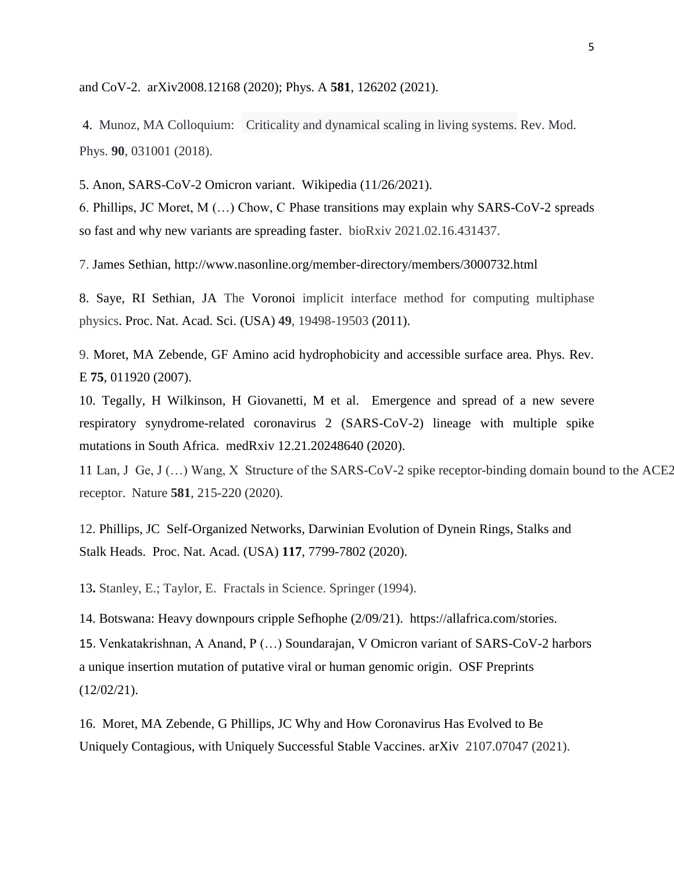[and CoV-2.](https://arxiv.org/abs/2008.12168) arXiv2008.12168 (2020); Phys. A **581**, 126202 (2021).

4. Munoz, MA Colloquium: Criticality and dynamical scaling in living systems. Rev. Mod. Phys. **90**, 031001 (2018).

5. Anon, SARS-CoV-2 Omicron variant. Wikipedia (11/26/2021).

6. Phillips, JC Moret, M (…) Chow, C Phase transitions may explain why SARS-CoV-2 spreads so fast and why new variants are spreading faster. bioRxiv 2021.02.16.431437.

7. James Sethian,<http://www.nasonline.org/member-directory/members/3000732.html>

8. Saye, RI Sethian, JA The Voronoi implicit interface method for computing multiphase physics. Proc. Nat. Acad. Sci. (USA) **49**, 19498-19503 (2011).

9. Moret, MA Zebende, GF Amino acid hydrophobicity and accessible surface area. Phys. Rev. E **75**, 011920 (2007).

10. Tegally, H Wilkinson, H Giovanetti, M et al. Emergence and spread of a new severe respiratory synydrome-related coronavirus 2 (SARS-CoV-2) lineage with multiple spike mutations in South Africa. medRxiv 12.21.20248640 (2020).

11 Lan, J Ge, J (…) Wang, X Structure of the SARS-CoV-2 spike receptor-binding domain bound to the ACE2 receptor. Nature **581**, 215-220 (2020).

12. Phillips, JC Self-Organized Networks, Darwinian Evolution of Dynein Rings, Stalks and Stalk Heads. Proc. Nat. Acad. (USA) **117**, 7799-7802 (2020).

13**.** Stanley, E.; Taylor, E. Fractals in Science. Springer (1994).

14. Botswana: Heavy downpours cripple Sefhophe (2/09/21). https://allafrica.com/stories.

15. Venkatakrishnan, A Anand, P (…) Soundarajan, V Omicron variant of SARS-CoV-2 harbors a unique insertion mutation of putative viral or human genomic origin. OSF Preprints (12/02/21).

16. Moret, MA Zebende, G Phillips, JC Why and How Coronavirus Has Evolved to Be Uniquely Contagious, with Uniquely Successful Stable Vaccines. arXiv 2107.07047 (2021).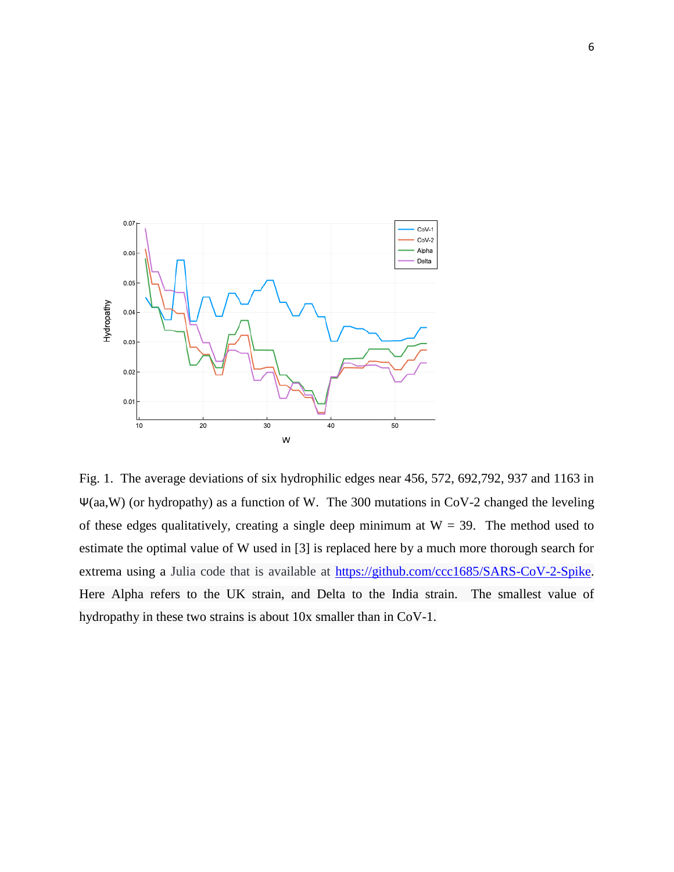

Fig. 1. The average deviations of six hydrophilic edges near 456, 572, 692,792, 937 and 1163 in Ψ(aa,W) (or hydropathy) as a function of W. The 300 mutations in CoV-2 changed the leveling of these edges qualitatively, creating a single deep minimum at  $W = 39$ . The method used to estimate the optimal value of W used in [3] is replaced here by a much more thorough search for extrema using a Julia code that is available at [https://github.com/ccc1685/SARS-CoV-2-Spike.](https://github.com/ccc1685/SARS-CoV-2-Spike) Here Alpha refers to the UK strain, and Delta to the India strain. The smallest value of hydropathy in these two strains is about 10x smaller than in CoV-1.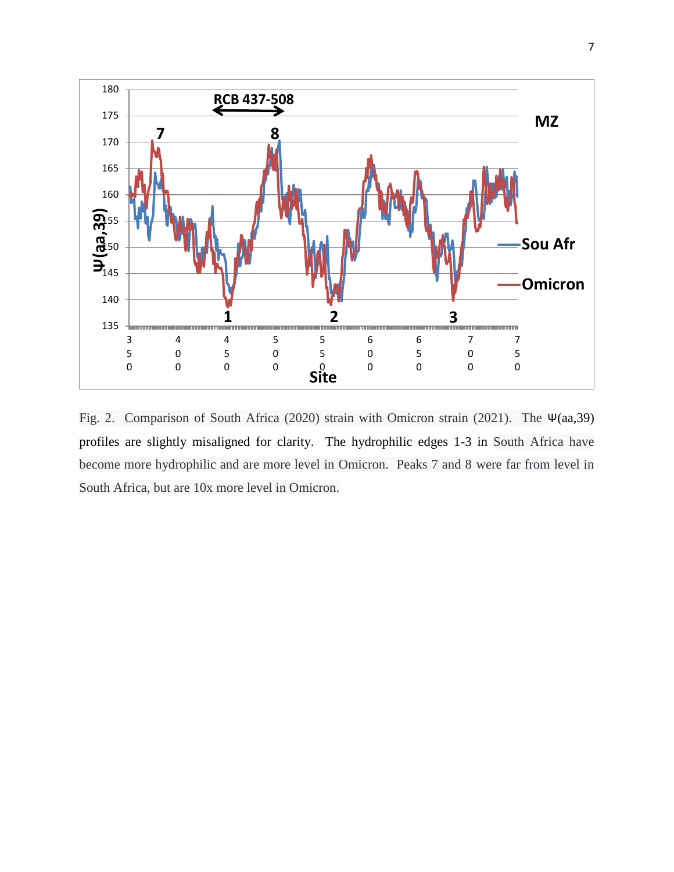

Fig. 2. Comparison of South Africa (2020) strain with Omicron strain (2021). The Ψ(aa,39) profiles are slightly misaligned for clarity. The hydrophilic edges 1-3 in South Africa have become more hydrophilic and are more level in Omicron. Peaks 7 and 8 were far from level in South Africa, but are 10x more level in Omicron.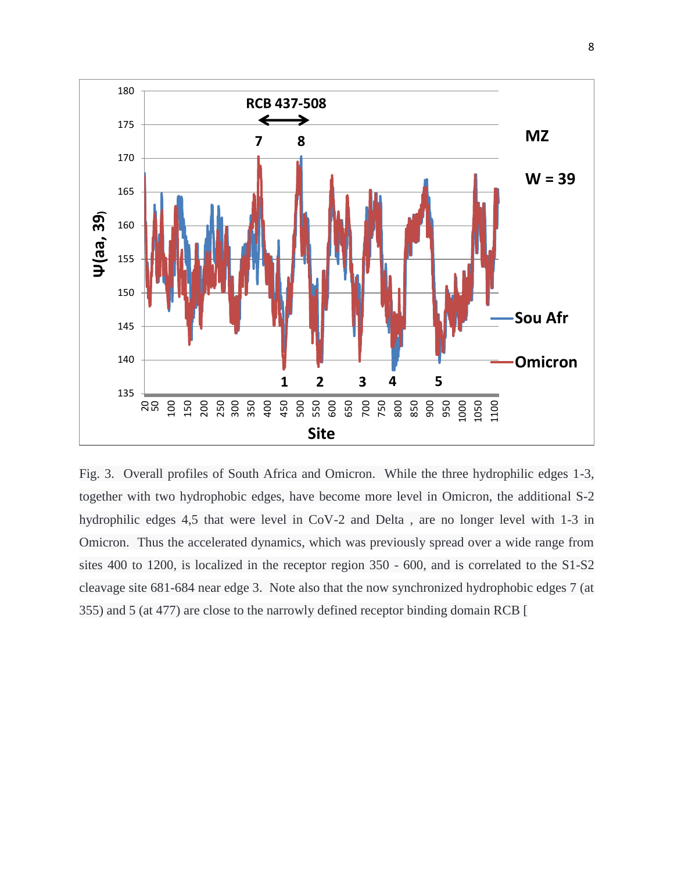

Fig. 3. Overall profiles of South Africa and Omicron. While the three hydrophilic edges 1-3, together with two hydrophobic edges, have become more level in Omicron, the additional S-2 hydrophilic edges 4,5 that were level in CoV-2 and Delta , are no longer level with 1-3 in Omicron. Thus the accelerated dynamics, which was previously spread over a wide range from sites 400 to 1200, is localized in the receptor region 350 - 600, and is correlated to the S1-S2 cleavage site 681-684 near edge 3. Note also that the now synchronized hydrophobic edges 7 (at 355) and 5 (at 477) are close to the narrowly defined receptor binding domain RCB [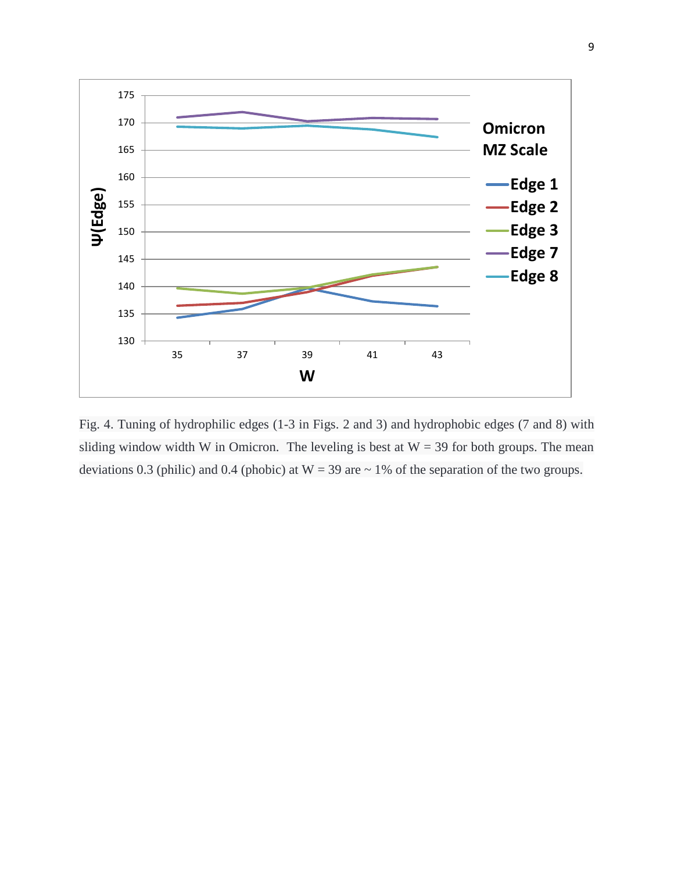

Fig. 4. Tuning of hydrophilic edges (1-3 in Figs. 2 and 3) and hydrophobic edges (7 and 8) with sliding window width W in Omicron. The leveling is best at  $W = 39$  for both groups. The mean deviations 0.3 (philic) and 0.4 (phobic) at  $W = 39$  are  $\sim 1\%$  of the separation of the two groups.